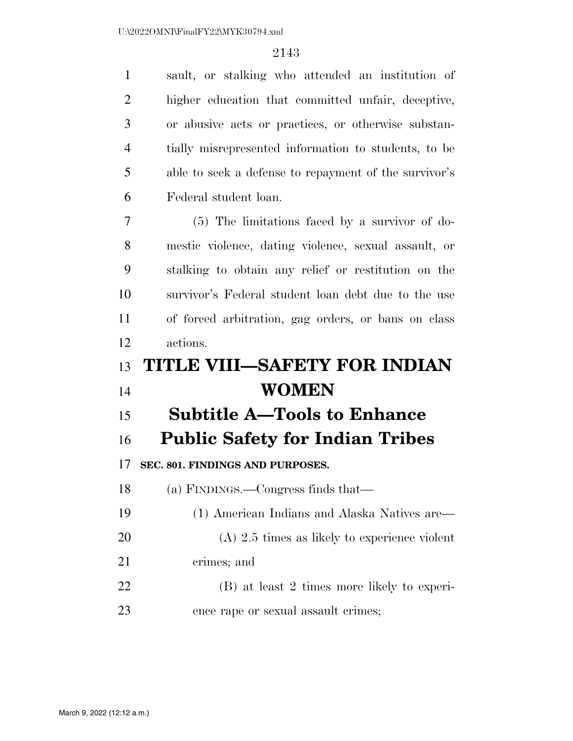| $\mathbf{1}$   | sault, or stalking who attended an institution of     |
|----------------|-------------------------------------------------------|
| $\overline{2}$ | higher education that committed unfair, deceptive,    |
| 3              | or abusive acts or practices, or otherwise substan-   |
| $\overline{4}$ | tially misrepresented information to students, to be  |
| 5              | able to seek a defense to repayment of the survivor's |
| 6              | Federal student loan.                                 |
| $\overline{7}$ | (5) The limitations faced by a survivor of do-        |
| 8              | mestic violence, dating violence, sexual assault, or  |
| 9              | stalking to obtain any relief or restitution on the   |
| 10             | survivor's Federal student loan debt due to the use   |
| 11             | of forced arbitration, gag orders, or bans on class   |
|                | actions.                                              |
| 12             |                                                       |
| 13             | <b>TITLE VIII-SAFETY FOR INDIAN</b>                   |
| 14             | WOMEN                                                 |
| 15             | <b>Subtitle A-Tools to Enhance</b>                    |
| 16             | <b>Public Safety for Indian Tribes</b>                |
| 17             | SEC. 801. FINDINGS AND PURPOSES.                      |
| 18             | (a) FINDINGS.—Congress finds that—                    |
| 19             | (1) American Indians and Alaska Natives are—          |
| 20             | $(A)$ 2.5 times as likely to experience violent       |
| 21             | crimes; and                                           |
| 22             | (B) at least 2 times more likely to experi-           |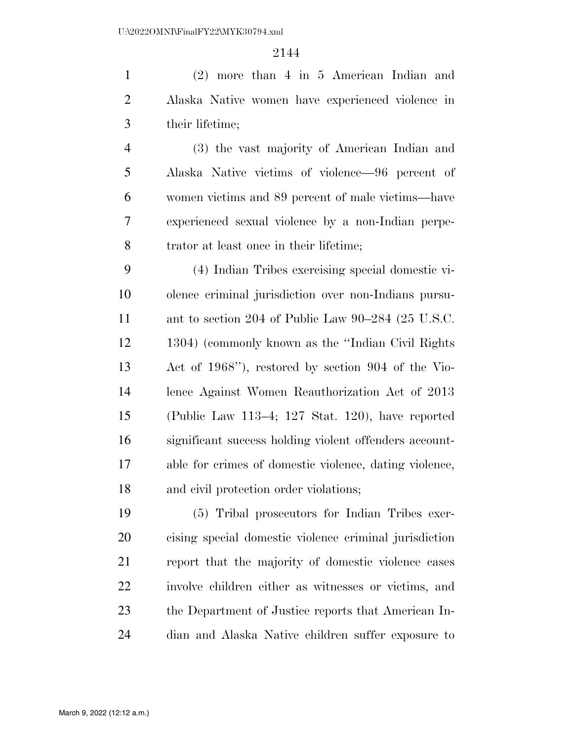(2) more than 4 in 5 American Indian and Alaska Native women have experienced violence in their lifetime;

 (3) the vast majority of American Indian and Alaska Native victims of violence—96 percent of women victims and 89 percent of male victims—have experienced sexual violence by a non-Indian perpe-trator at least once in their lifetime;

 (4) Indian Tribes exercising special domestic vi- olence criminal jurisdiction over non-Indians pursu- ant to section 204 of Public Law 90–284 (25 U.S.C. 1304) (commonly known as the ''Indian Civil Rights Act of 1968''), restored by section 904 of the Vio- lence Against Women Reauthorization Act of 2013 (Public Law 113–4; 127 Stat. 120), have reported significant success holding violent offenders account- able for crimes of domestic violence, dating violence, and civil protection order violations;

 (5) Tribal prosecutors for Indian Tribes exer- cising special domestic violence criminal jurisdiction report that the majority of domestic violence cases involve children either as witnesses or victims, and the Department of Justice reports that American In-dian and Alaska Native children suffer exposure to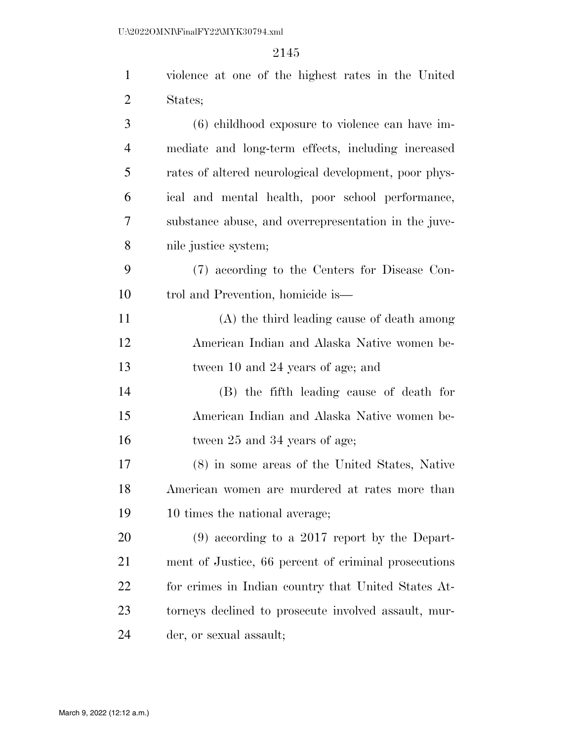| $\mathbf{1}$   | violence at one of the highest rates in the United    |
|----------------|-------------------------------------------------------|
| $\overline{2}$ | States;                                               |
| 3              | $(6)$ childhood exposure to violence can have im-     |
| $\overline{4}$ | mediate and long-term effects, including increased    |
| 5              | rates of altered neurological development, poor phys- |
| 6              | ical and mental health, poor school performance,      |
| 7              | substance abuse, and overrepresentation in the juve-  |
| 8              | nile justice system;                                  |
| 9              | (7) according to the Centers for Disease Con-         |
| 10             | trol and Prevention, homicide is—                     |
| 11             | (A) the third leading cause of death among            |
| 12             | American Indian and Alaska Native women be-           |
| 13             | tween 10 and 24 years of age; and                     |
| 14             | (B) the fifth leading cause of death for              |
| 15             | American Indian and Alaska Native women be-           |
| 16             | tween 25 and 34 years of age;                         |
| 17             | (8) in some areas of the United States, Native        |
| 18             | American women are murdered at rates more than        |
| 19             | 10 times the national average;                        |
| 20             | $(9)$ according to a 2017 report by the Depart-       |
| 21             | ment of Justice, 66 percent of criminal prosecutions  |
| 22             | for crimes in Indian country that United States At-   |
| 23             | torneys declined to prosecute involved assault, mur-  |
| 24             | der, or sexual assault;                               |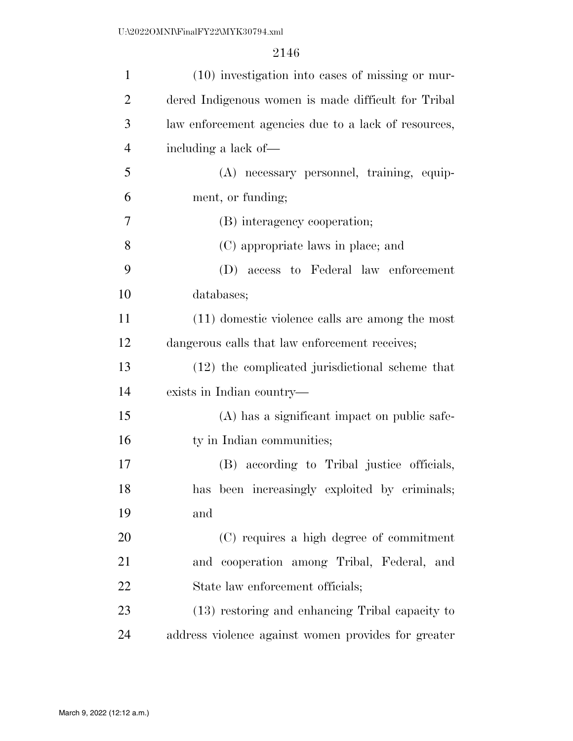| $\mathbf{1}$   | $(10)$ investigation into cases of missing or mur-   |
|----------------|------------------------------------------------------|
| $\overline{2}$ | dered Indigenous women is made difficult for Tribal  |
| 3              | law enforcement agencies due to a lack of resources, |
| $\overline{4}$ | including a lack of—                                 |
| 5              | (A) necessary personnel, training, equip-            |
| 6              | ment, or funding;                                    |
| 7              | (B) interagency cooperation;                         |
| 8              | (C) appropriate laws in place; and                   |
| 9              | (D) access to Federal law enforcement                |
| 10             | databases;                                           |
| 11             | (11) domestic violence calls are among the most      |
| 12             | dangerous calls that law enforcement receives;       |
| 13             | (12) the complicated jurisdictional scheme that      |
| 14             | exists in Indian country—                            |
| 15             | (A) has a significant impact on public safe-         |
| 16             | ty in Indian communities;                            |
| 17             | (B) according to Tribal justice officials,           |
| 18             | has been increasingly exploited by criminals;        |
| 19             | and                                                  |
| 20             | (C) requires a high degree of commitment             |
| 21             | and cooperation among Tribal, Federal, and           |
| 22             | State law enforcement officials;                     |
| 23             | (13) restoring and enhancing Tribal capacity to      |
| 24             | address violence against women provides for greater  |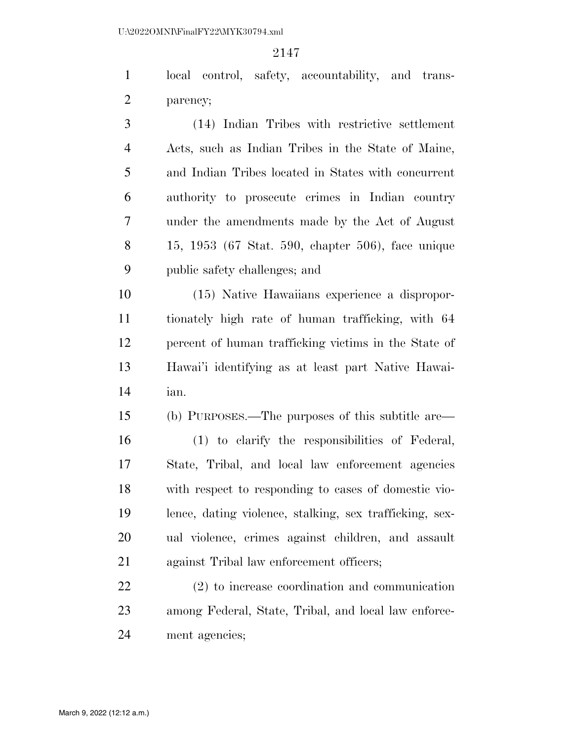local control, safety, accountability, and trans-parency;

 (14) Indian Tribes with restrictive settlement Acts, such as Indian Tribes in the State of Maine, and Indian Tribes located in States with concurrent authority to prosecute crimes in Indian country under the amendments made by the Act of August 15, 1953 (67 Stat. 590, chapter 506), face unique public safety challenges; and

 (15) Native Hawaiians experience a dispropor- tionately high rate of human trafficking, with 64 percent of human trafficking victims in the State of Hawai'i identifying as at least part Native Hawai-ian.

 (b) PURPOSES.—The purposes of this subtitle are— (1) to clarify the responsibilities of Federal, State, Tribal, and local law enforcement agencies with respect to responding to cases of domestic vio- lence, dating violence, stalking, sex trafficking, sex- ual violence, crimes against children, and assault against Tribal law enforcement officers;

 (2) to increase coordination and communication among Federal, State, Tribal, and local law enforce-ment agencies;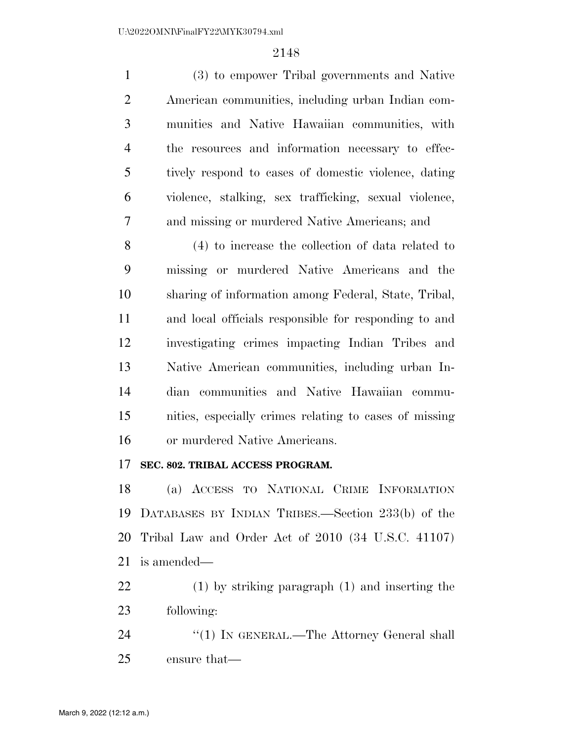(3) to empower Tribal governments and Native American communities, including urban Indian com- munities and Native Hawaiian communities, with the resources and information necessary to effec- tively respond to cases of domestic violence, dating violence, stalking, sex trafficking, sexual violence, and missing or murdered Native Americans; and

 (4) to increase the collection of data related to missing or murdered Native Americans and the sharing of information among Federal, State, Tribal, and local officials responsible for responding to and investigating crimes impacting Indian Tribes and Native American communities, including urban In- dian communities and Native Hawaiian commu- nities, especially crimes relating to cases of missing or murdered Native Americans.

## **SEC. 802. TRIBAL ACCESS PROGRAM.**

 (a) ACCESS TO NATIONAL CRIME INFORMATION DATABASES BY INDIAN TRIBES.—Section 233(b) of the Tribal Law and Order Act of 2010 (34 U.S.C. 41107) is amended—

 (1) by striking paragraph (1) and inserting the following:

24 ''(1) IN GENERAL.—The Attorney General shall ensure that—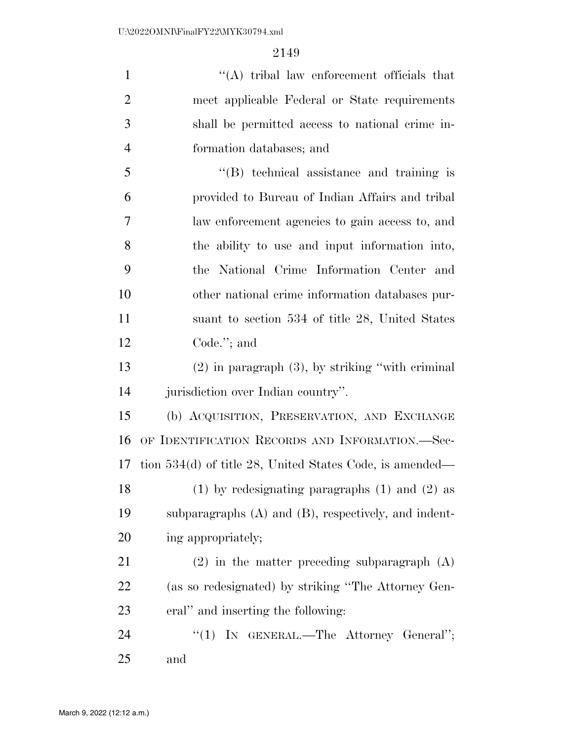| 1                        | $\lq\lq$ tribal law enforcement officials that  |
|--------------------------|-------------------------------------------------|
| 2                        | meet applicable Federal or State requirements   |
| 3                        | shall be permitted access to national crime in- |
| $\overline{4}$           | formation databases; and                        |
| 5                        | $\lq\lq$ b technical assistance and training is |
| 6                        | provided to Bureau of Indian Affairs and tribal |
| $\overline{\mathcal{I}}$ | law enforcement agencies to gain access to, and |
| 8                        | the ability to use and input information into,  |
| 9                        | the National Crime Information Center and       |
| 10                       | other national crime information databases pur- |
| 11                       | suant to section 534 of title 28, United States |

Code.''; and

ing appropriately;

 (2) in paragraph (3), by striking ''with criminal jurisdiction over Indian country''.

 (b) ACQUISITION, PRESERVATION, AND EXCHANGE OF IDENTIFICATION RECORDS AND INFORMATION.—Sec- tion 534(d) of title 28, United States Code, is amended— (1) by redesignating paragraphs (1) and (2) as subparagraphs (A) and (B), respectively, and indent-

 (2) in the matter preceding subparagraph (A) (as so redesignated) by striking ''The Attorney Gen-eral'' and inserting the following:

24 "(1) IN GENERAL.—The Attorney General"; and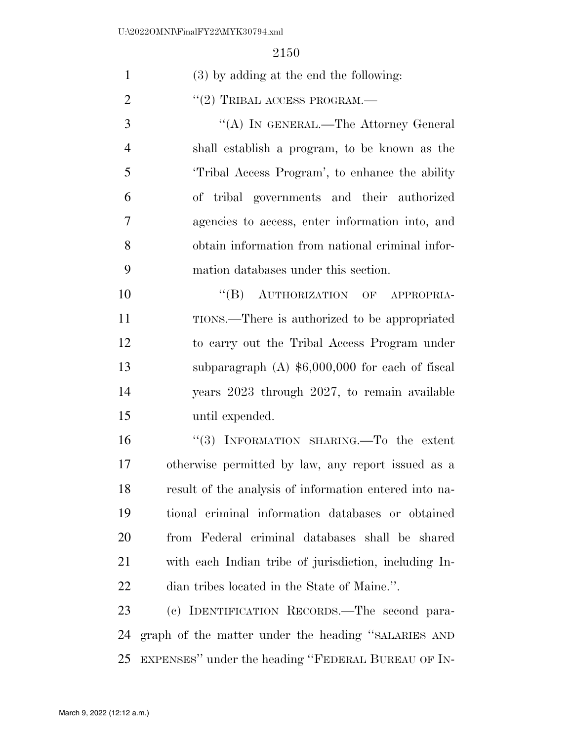| $\mathbf{1}$   | (3) by adding at the end the following:                |
|----------------|--------------------------------------------------------|
| $\overline{2}$ | $``(2)$ TRIBAL ACCESS PROGRAM.—                        |
| 3              | "(A) IN GENERAL.—The Attorney General                  |
| $\overline{4}$ | shall establish a program, to be known as the          |
| 5              | Tribal Access Program', to enhance the ability         |
| 6              | of tribal governments and their authorized             |
| $\overline{7}$ | agencies to access, enter information into, and        |
| 8              | obtain information from national criminal infor-       |
| 9              | mation databases under this section.                   |
| 10             | "(B) AUTHORIZATION OF APPROPRIA-                       |
| 11             | TIONS.—There is authorized to be appropriated          |
| 12             | to carry out the Tribal Access Program under           |
| 13             | subparagraph $(A)$ \$6,000,000 for each of fiscal      |
| 14             | years 2023 through 2027, to remain available           |
| 15             | until expended.                                        |
| 16             | "(3) INFORMATION SHARING. To the extent                |
| 17             | otherwise permitted by law, any report issued as a     |
| 18             | result of the analysis of information entered into na- |
| 19             | tional criminal information databases or obtained      |
| 20             | from Federal criminal databases shall be shared        |
| 21             | with each Indian tribe of jurisdiction, including In-  |
| 22             | dian tribes located in the State of Maine.".           |
| 23             | (c) IDENTIFICATION RECORDS.—The second para-           |
| 24             | graph of the matter under the heading "SALARIES AND    |

EXPENSES'' under the heading ''FEDERAL BUREAU OF IN-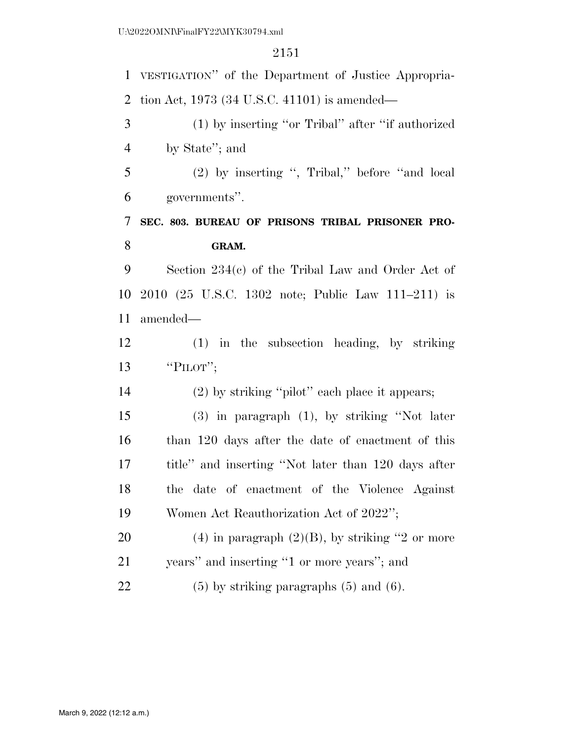|                | 1 VESTIGATION" of the Department of Justice Appropria-  |
|----------------|---------------------------------------------------------|
| 2              | tion Act, 1973 $(34 \text{ U.S.C. } 41101)$ is amended— |
| 3              | $(1)$ by inserting "or Tribal" after "if authorized     |
| $\overline{4}$ | by State"; and                                          |
| 5              | (2) by inserting ", Tribal," before "and local          |
| 6              | governments".                                           |
| 7              | SEC. 803. BUREAU OF PRISONS TRIBAL PRISONER PRO-        |
| 8              | GRAM.                                                   |
| 9              | Section $234(c)$ of the Tribal Law and Order Act of     |
| 10             | 2010 (25 U.S.C. 1302 note; Public Law 111–211) is       |
| 11             | amended—                                                |
| 12             | $(1)$ in the subsection heading, by striking            |
| 13             | "PILOT";                                                |
| 14             | $(2)$ by striking "pilot" each place it appears;        |
| 15             | $(3)$ in paragraph $(1)$ , by striking "Not later       |
| 16             | than 120 days after the date of enactment of this       |
| 17             | title" and inserting "Not later than 120 days after     |
| 18             | the date of enactment of the Violence Against           |
| 19             | Women Act Reauthorization Act of 2022";                 |
| 20             | $(4)$ in paragraph $(2)(B)$ , by striking "2 or more    |
| 21             | years" and inserting "1 or more years"; and             |
| 22             | $(5)$ by striking paragraphs $(5)$ and $(6)$ .          |
|                |                                                         |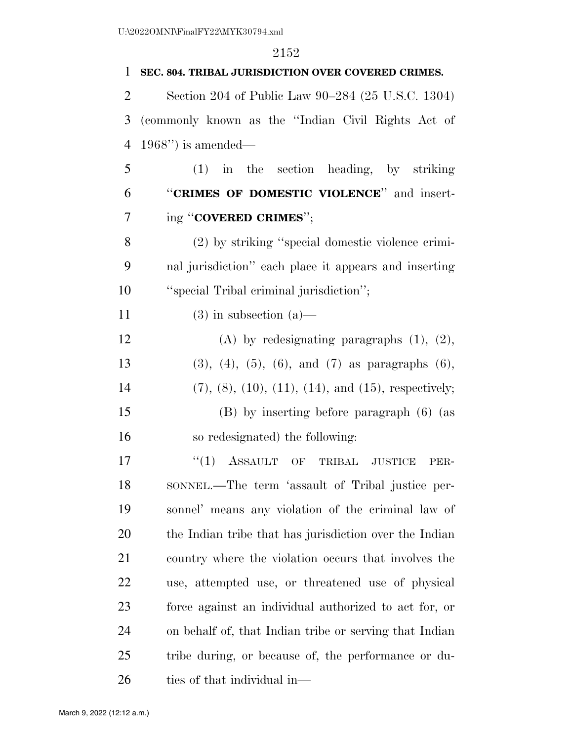| 1              | SEC. 804. TRIBAL JURISDICTION OVER COVERED CRIMES.              |
|----------------|-----------------------------------------------------------------|
| $\overline{2}$ | Section 204 of Public Law 90-284 (25 U.S.C. 1304)               |
| 3              | (commonly known as the "Indian Civil Rights Act of              |
| $\overline{4}$ | $1968"$ ) is amended—                                           |
| 5              | $(1)$ in the section heading, by striking                       |
| 6              | "CRIMES OF DOMESTIC VIOLENCE" and insert-                       |
| 7              | ing "COVERED CRIMES";                                           |
| 8              | (2) by striking "special domestic violence crimi-               |
| 9              | nal jurisdiction" each place it appears and inserting           |
| 10             | "special Tribal criminal jurisdiction";                         |
| 11             | $(3)$ in subsection $(a)$ —                                     |
| 12             | (A) by redesignating paragraphs $(1)$ , $(2)$ ,                 |
| 13             | $(3)$ , $(4)$ , $(5)$ , $(6)$ , and $(7)$ as paragraphs $(6)$ , |
| 14             | $(7), (8), (10), (11), (14), and (15), respectively;$           |
| 15             | (B) by inserting before paragraph (6) (as                       |
| 16             | so redesignated) the following:                                 |
| 17             | ``(1)<br>ASSAULT OF<br>TRIBAL JUSTICE<br>PER-                   |
| 18             | SONNEL.-The term 'assault of Tribal justice per-                |
| 19             | sonnel' means any violation of the criminal law of              |
| <b>20</b>      | the Indian tribe that has jurisdiction over the Indian          |
| 21             | country where the violation occurs that involves the            |
| 22             | use, attempted use, or threatened use of physical               |
| 23             | force against an individual authorized to act for, or           |
| 24             | on behalf of, that Indian tribe or serving that Indian          |
| 25             | tribe during, or because of, the performance or du-             |
| 26             | ties of that individual in—                                     |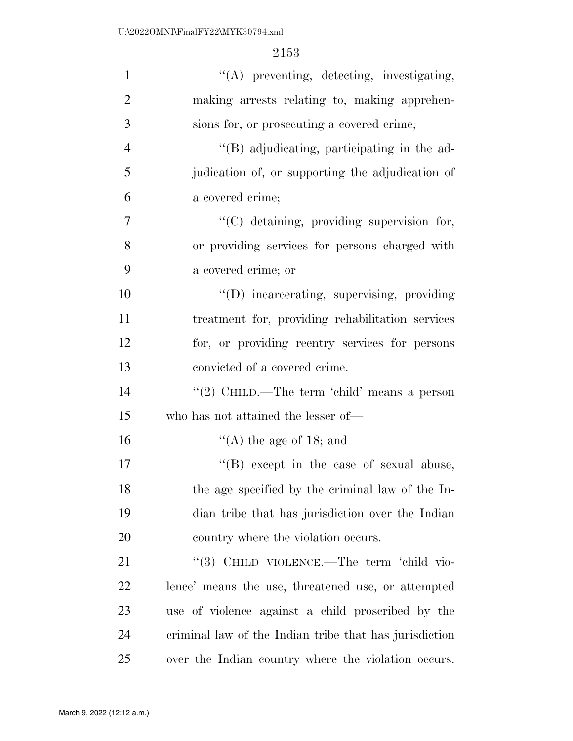| $\mathbf{1}$   | "(A) preventing, detecting, investigating,             |
|----------------|--------------------------------------------------------|
| $\overline{2}$ | making arrests relating to, making apprehen-           |
| 3              | sions for, or prosecuting a covered crime;             |
| $\overline{4}$ | "(B) adjudicating, participating in the ad-            |
| 5              | judication of, or supporting the adjudication of       |
| 6              | a covered crime;                                       |
| 7              | $\lq\lq$ detaining, providing supervision for,         |
| 8              | or providing services for persons charged with         |
| 9              | a covered crime; or                                    |
| 10             | "(D) incarcerating, supervising, providing             |
| 11             | treatment for, providing rehabilitation services       |
| 12             | for, or providing reentry services for persons         |
| 13             | convicted of a covered crime.                          |
| 14             | "(2) CHILD.—The term 'child' means a person            |
| 15             | who has not attained the lesser of—                    |
| 16             | "(A) the age of 18; and                                |
| 17             | $\lq\lq(B)$ except in the case of sexual abuse,        |
| 18             | the age specified by the criminal law of the In-       |
| 19             | dian tribe that has jurisdiction over the Indian       |
| 20             | country where the violation occurs.                    |
| 21             | "(3) CHILD VIOLENCE.—The term 'child vio-              |
| 22             | lence' means the use, threatened use, or attempted     |
| 23             | use of violence against a child proscribed by the      |
| 24             | criminal law of the Indian tribe that has jurisdiction |
| 25             | over the Indian country where the violation occurs.    |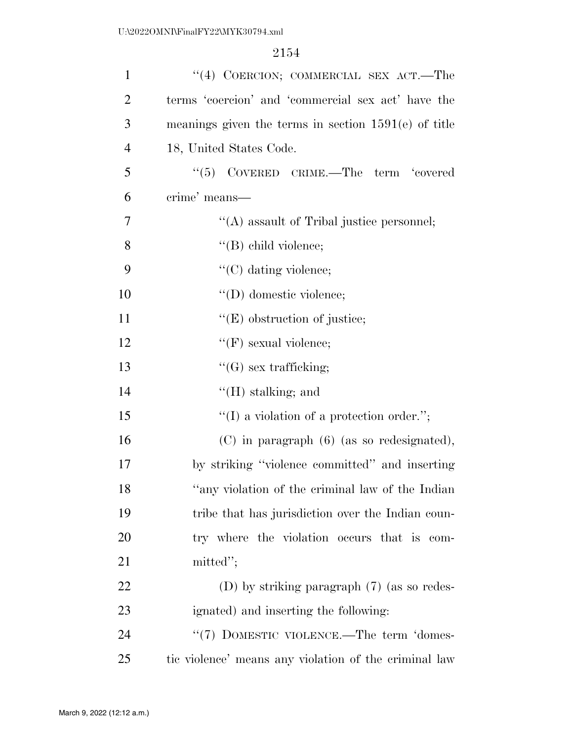| $\mathbf{1}$   | "(4) COERCION; COMMERCIAL SEX ACT.—The                 |
|----------------|--------------------------------------------------------|
| $\overline{2}$ | terms 'coercion' and 'commercial sex act' have the     |
| 3              | meanings given the terms in section $1591(e)$ of title |
| $\overline{4}$ | 18, United States Code.                                |
| 5              | $``(5)$ COVERED CRIME.—The term 'covered               |
| 6              | crime' means—                                          |
| $\tau$         | $\lq\lq$ assault of Tribal justice personnel;          |
| 8              | $\lq\lq$ (B) child violence;                           |
| 9              | $\lq\lq$ (C) dating violence;                          |
| 10             | $\lq\lq$ (D) domestic violence;                        |
| 11             | $\lq\lq(E)$ obstruction of justice;                    |
| 12             | $\lq\lq(F)$ sexual violence;                           |
| 13             | $\lq\lq(G)$ sex trafficking;                           |
| 14             | $\lq\lq(H)$ stalking; and                              |
| 15             | $\lq\lq$ a violation of a protection order.";          |
| 16             | $(C)$ in paragraph $(6)$ (as so redesignated),         |
| 17             | by striking "violence committed" and inserting         |
| 18             | any violation of the criminal law of the Indian        |
| 19             | tribe that has jurisdiction over the Indian coun-      |
| 20             | try where the violation occurs that is com-            |
| 21             | mitted";                                               |
| 22             | (D) by striking paragraph $(7)$ (as so redes-          |
| 23             | ignated) and inserting the following:                  |
| 24             | "(7) DOMESTIC VIOLENCE.—The term 'domes-               |
| 25             | tic violence' means any violation of the criminal law  |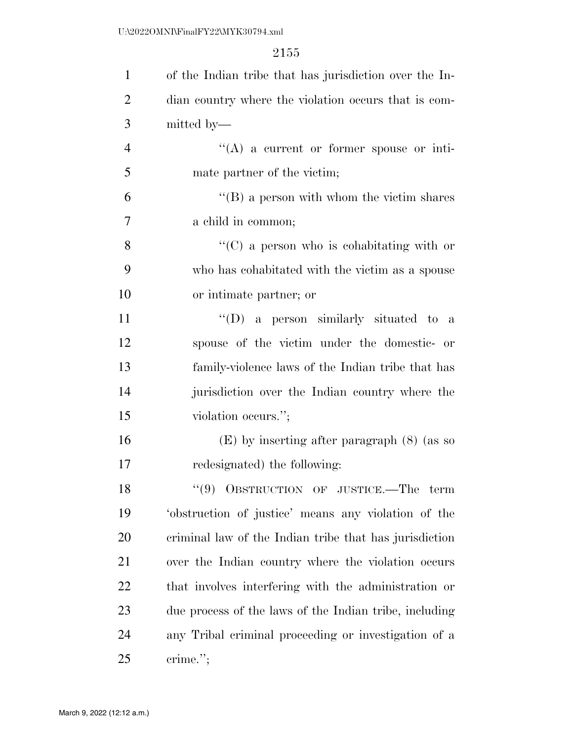| $\mathbf{1}$   | of the Indian tribe that has jurisdiction over the In- |
|----------------|--------------------------------------------------------|
| $\overline{2}$ | dian country where the violation occurs that is com-   |
| 3              | mitted by—                                             |
| $\overline{4}$ | $\lq\lq$ a current or former spouse or inti-           |
| 5              | mate partner of the victim;                            |
| 6              | $\lq\lq (B)$ a person with whom the victim shares      |
| $\overline{7}$ | a child in common;                                     |
| 8              | $\lq\lq$ (C) a person who is cohabitating with or      |
| 9              | who has cohabitated with the victim as a spouse        |
| 10             | or intimate partner; or                                |
| 11             | "(D) a person similarly situated to a                  |
| 12             | spouse of the victim under the domestic- or            |
| 13             | family-violence laws of the Indian tribe that has      |
| 14             | jurisdiction over the Indian country where the         |
| 15             | violation occurs.";                                    |
| 16             | $(E)$ by inserting after paragraph $(8)$ (as so        |
| 17             | redesignated) the following:                           |
| 18             | "(9) OBSTRUCTION OF JUSTICE.—The term                  |
| 19             | 'obstruction of justice' means any violation of the    |
| 20             | criminal law of the Indian tribe that has jurisdiction |
| 21             | over the Indian country where the violation occurs     |
| 22             | that involves interfering with the administration or   |
| 23             | due process of the laws of the Indian tribe, including |
| 24             | any Tribal criminal proceeding or investigation of a   |
| 25             | $\text{ crime.}";$                                     |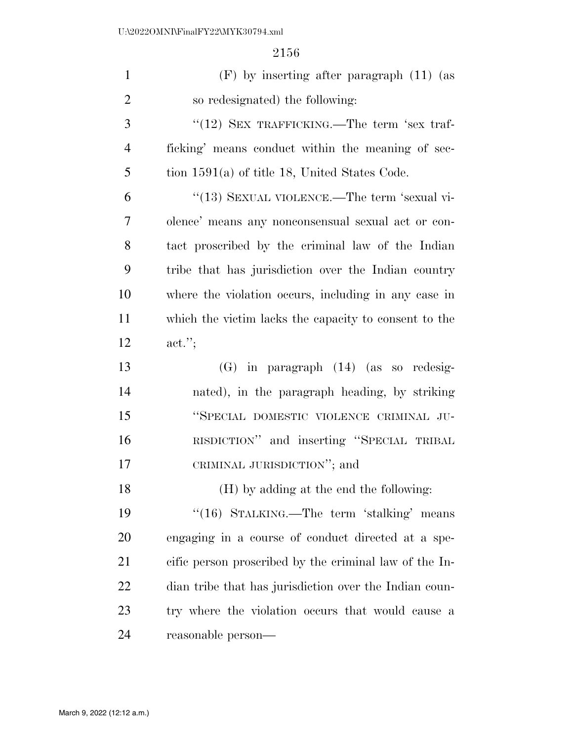| $\mathbf{1}$   | $(F)$ by inserting after paragraph $(11)$ (as          |
|----------------|--------------------------------------------------------|
| $\overline{2}$ | so redesignated) the following:                        |
| 3              | " $(12)$ SEX TRAFFICKING.—The term 'sex traf-          |
| $\overline{4}$ | ficking' means conduct within the meaning of sec-      |
| 5              | tion $1591(a)$ of title 18, United States Code.        |
| 6              | "(13) SEXUAL VIOLENCE.—The term 'sexual vi-            |
| 7              | olence' means any nonconsensual sexual act or con-     |
| 8              | tact proscribed by the criminal law of the Indian      |
| 9              | tribe that has jurisdiction over the Indian country    |
| 10             | where the violation occurs, including in any case in   |
| 11             | which the victim lacks the capacity to consent to the  |
| 12             | $\text{act.}$ ";                                       |
| 13             | $(G)$ in paragraph $(14)$ (as so redesig-              |
| 14             | nated), in the paragraph heading, by striking          |
|                |                                                        |
| 15             | "SPECIAL DOMESTIC VIOLENCE CRIMINAL JU-                |
| 16             | RISDICTION" and inserting "SPECIAL TRIBAL              |
| 17             | CRIMINAL JURISDICTION"; and                            |
| 18             | (H) by adding at the end the following:                |
| 19             | "(16) STALKING.—The term 'stalking' means              |
| 20             | engaging in a course of conduct directed at a spe-     |
| 21             | cific person proscribed by the criminal law of the In- |
| 22             | dian tribe that has jurisdiction over the Indian coun- |
| 23             | try where the violation occurs that would cause a      |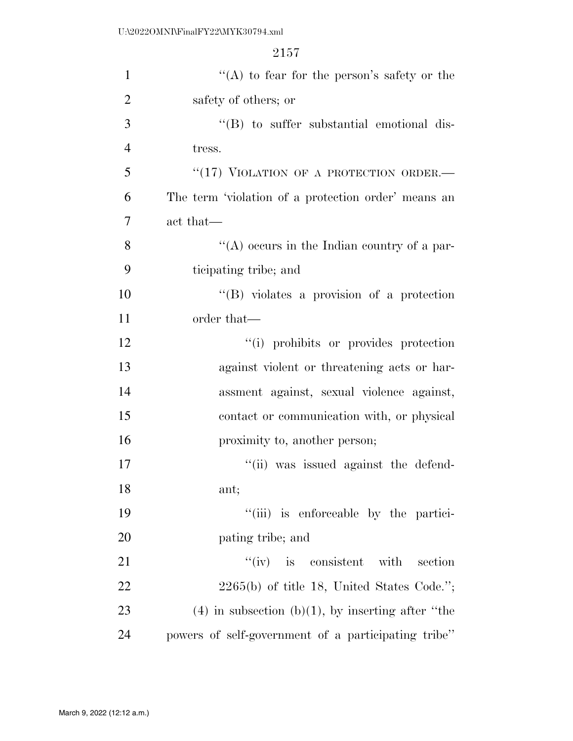| $\mathbf{1}$   | "(A) to fear for the person's safety or the         |
|----------------|-----------------------------------------------------|
| $\overline{2}$ | safety of others; or                                |
| 3              | $\lq\lq (B)$ to suffer substantial emotional dis-   |
| $\overline{4}$ | tress.                                              |
| 5              | "(17) VIOLATION OF A PROTECTION ORDER.-             |
| 6              | The term 'violation of a protection order' means an |
| 7              | act that—                                           |
| 8              | "(A) occurs in the Indian country of a par-         |
| 9              | ticipating tribe; and                               |
| 10             | $\lq\lq(B)$ violates a provision of a protection    |
| 11             | order that—                                         |
| 12             | "(i) prohibits or provides protection               |
| 13             | against violent or threatening acts or har-         |
| 14             | assment against, sexual violence against,           |
| 15             | contact or communication with, or physical          |
| 16             | proximity to, another person;                       |
| 17             | "(ii) was issued against the defend-                |
| 18             | ant;                                                |
| 19             | "(iii) is enforceable by the partici-               |
| 20             | pating tribe; and                                   |
| 21             | $``(iv)$ is consistent with<br>section              |
| 22             | $2265(b)$ of title 18, United States Code.";        |
| 23             | $(4)$ in subsection (b)(1), by inserting after "the |
| 24             | powers of self-government of a participating tribe" |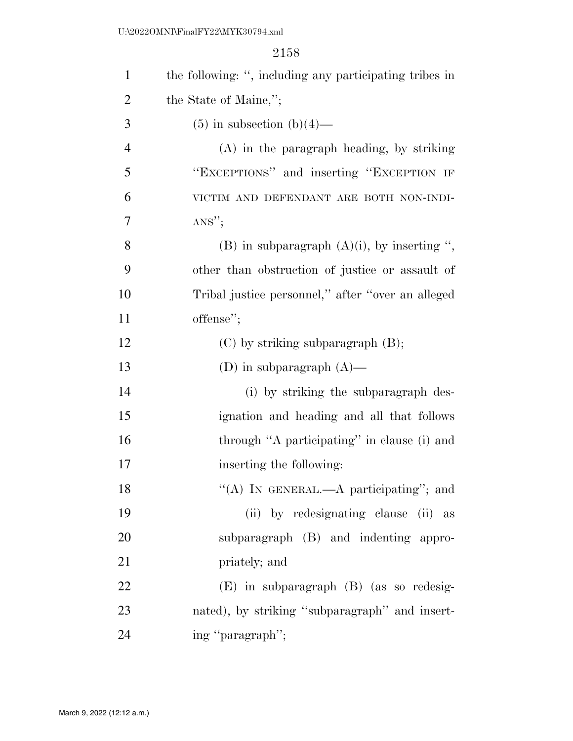| $\mathbf{1}$   | the following: ", including any participating tribes in |
|----------------|---------------------------------------------------------|
| $\overline{2}$ | the State of Maine,";                                   |
| 3              | $(5)$ in subsection $(b)(4)$ —                          |
| $\overline{4}$ | $(A)$ in the paragraph heading, by striking             |
| 5              | "EXCEPTIONS" and inserting "EXCEPTION IF                |
| 6              | VICTIM AND DEFENDANT ARE BOTH NON-INDI-                 |
| 7              | $ANS''$ ;                                               |
| 8              | (B) in subparagraph $(A)(i)$ , by inserting ",          |
| 9              | other than obstruction of justice or assault of         |
| 10             | Tribal justice personnel," after "over an alleged       |
| 11             | offense";                                               |
| 12             | $(C)$ by striking subparagraph $(B)$ ;                  |
| 13             | (D) in subparagraph $(A)$ —                             |
| 14             | (i) by striking the subparagraph des-                   |
| 15             | ignation and heading and all that follows               |
| 16             | through "A participating" in clause (i) and             |
| 17             | inserting the following:                                |
| 18             | "(A) IN GENERAL.—A participating"; and                  |
| 19             | (ii) by redesignating clause (ii) as                    |
| 20             | subparagraph (B) and indenting appro-                   |
| 21             | priately; and                                           |
| 22             | (E) in subparagraph (B) (as so redesig-                 |
| 23             | nated), by striking "subparagraph" and insert-          |
| 24             | ing "paragraph";                                        |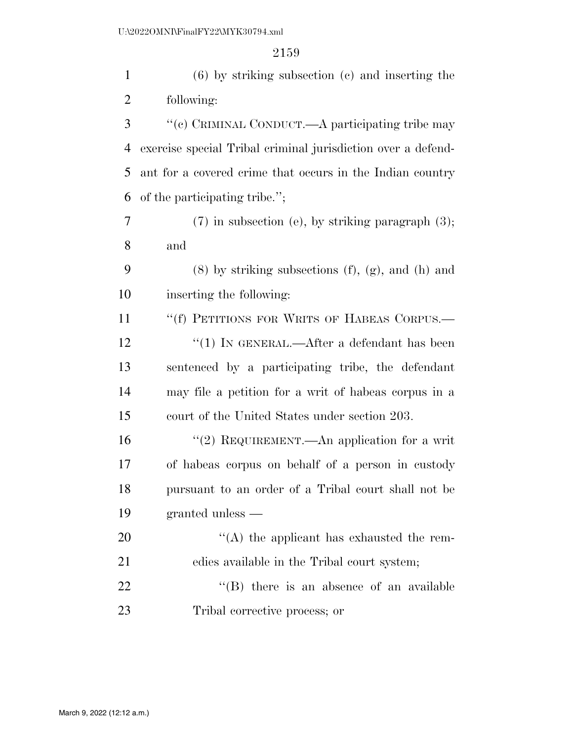| $\mathbf{1}$   | $(6)$ by striking subsection $(c)$ and inserting the         |
|----------------|--------------------------------------------------------------|
| $\overline{2}$ | following:                                                   |
| 3              | "(c) CRIMINAL CONDUCT.—A participating tribe may             |
| $\overline{4}$ | exercise special Tribal criminal jurisdiction over a defend- |
| 5              | ant for a covered crime that occurs in the Indian country    |
| 6              | of the participating tribe.";                                |
| 7              | $(7)$ in subsection (e), by striking paragraph $(3)$ ;       |
| 8              | and                                                          |
| 9              | $(8)$ by striking subsections $(f)$ , $(g)$ , and $(h)$ and  |
| 10             | inserting the following:                                     |
| 11             | "(f) PETITIONS FOR WRITS OF HABEAS CORPUS.-                  |
| 12             | "(1) IN GENERAL.—After a defendant has been                  |
| 13             | sentenced by a participating tribe, the defendant            |
| 14             | may file a petition for a writ of habeas corpus in a         |
| 15             | court of the United States under section 203.                |
| 16             | "(2) REQUIREMENT.—An application for a writ                  |
| 17             | of habeas corpus on behalf of a person in custody            |
| 18             | pursuant to an order of a Tribal court shall not be          |
| 19             | granted unless —                                             |
| 20             | $\lq\lq$ the applicant has exhausted the rem-                |
| 21             | edies available in the Tribal court system;                  |
| 22             | $\lq\lq$ there is an absence of an available                 |
| 23             | Tribal corrective process; or                                |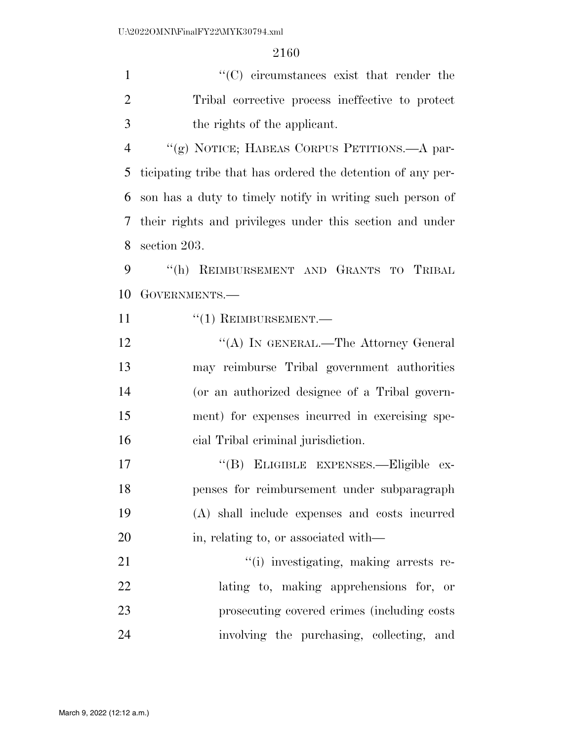''(C) circumstances exist that render the Tribal corrective process ineffective to protect the rights of the applicant.

 ''(g) NOTICE; HABEAS CORPUS PETITIONS.—A par- ticipating tribe that has ordered the detention of any per- son has a duty to timely notify in writing such person of their rights and privileges under this section and under section 203.

 ''(h) REIMBURSEMENT AND GRANTS TO TRIBAL GOVERNMENTS.—

11  $\frac{((1) \text{REIMBURSEMENT}}{((1) \text{PEIMBURSEMENT})}$ 

12 "(A) IN GENERAL.—The Attorney General may reimburse Tribal government authorities (or an authorized designee of a Tribal govern- ment) for expenses incurred in exercising spe-cial Tribal criminal jurisdiction.

 ''(B) ELIGIBLE EXPENSES.—Eligible ex- penses for reimbursement under subparagraph (A) shall include expenses and costs incurred 20 in, relating to, or associated with—

 $\frac{1}{1}$  investigating, making arrests re- lating to, making apprehensions for, or prosecuting covered crimes (including costs involving the purchasing, collecting, and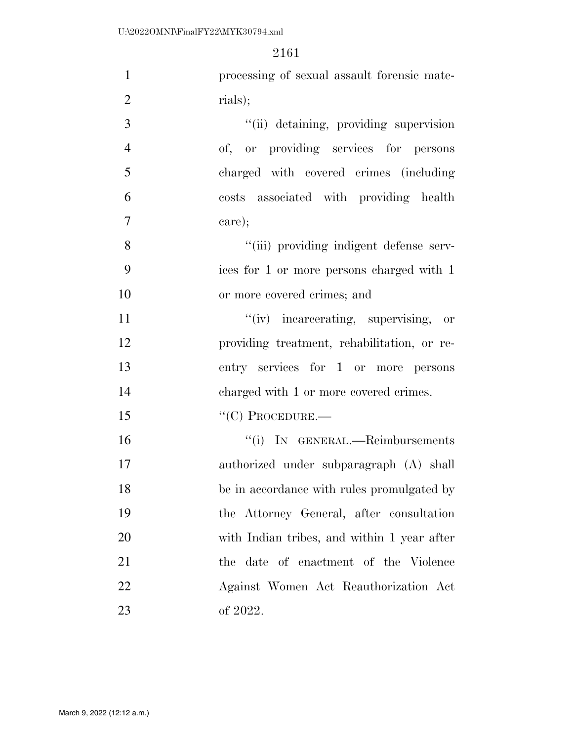| $\mathbf{1}$   | processing of sexual assault forensic mate- |
|----------------|---------------------------------------------|
| $\overline{2}$ | rials);                                     |
| 3              | "(ii) detaining, providing supervision      |
| $\overline{4}$ | of, or providing services for persons       |
| 5              | charged with covered crimes (including      |
| 6              | costs associated with providing health      |
| $\overline{7}$ | care);                                      |
| 8              | "(iii) providing indigent defense serv-     |
| 9              | ices for 1 or more persons charged with 1   |
| 10             | or more covered crimes; and                 |
| 11             | "(iv) incarcerating, supervising, or        |
| 12             | providing treatment, rehabilitation, or re- |
| 13             | entry services for 1 or more persons        |
| 14             | charged with 1 or more covered crimes.      |
| 15             | $``(C)$ PROCEDURE.—                         |
| 16             | "(i) IN GENERAL.—Reimbursements             |
| 17             | authorized under subparagraph (A) shall     |
| 18             | be in accordance with rules promulgated by  |
| 19             | the Attorney General, after consultation    |
| 20             | with Indian tribes, and within 1 year after |
| 21             | the date of enactment of the Violence       |
| 22             | Against Women Act Reauthorization Act       |
| 23             | of 2022.                                    |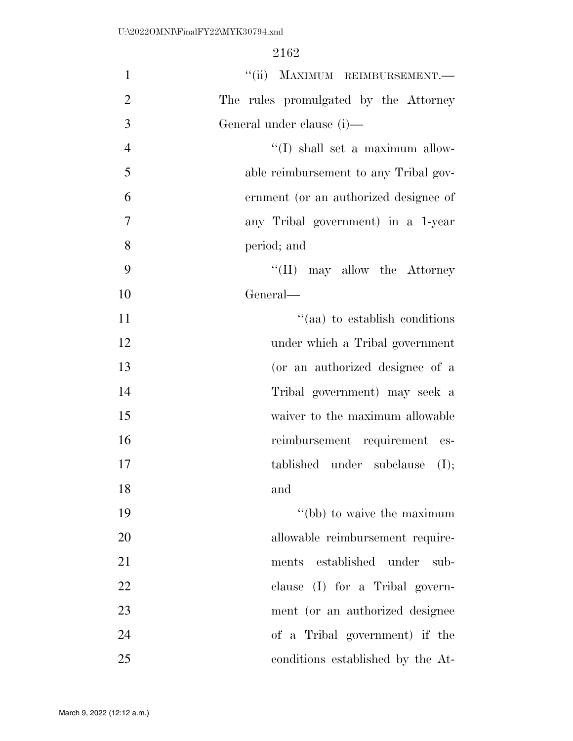| $\mathbf{1}$   | "(ii) MAXIMUM REIMBURSEMENT.-           |
|----------------|-----------------------------------------|
| $\overline{2}$ | The rules promulgated by the Attorney   |
| 3              | General under clause (i)—               |
| $\overline{4}$ | $\lq\lq$ (I) shall set a maximum allow- |
| 5              | able reimbursement to any Tribal gov-   |
| 6              | ernment (or an authorized designee of   |
| $\tau$         | any Tribal government) in a 1-year      |
| 8              | period; and                             |
| 9              | "(II) may allow the Attorney"           |
| 10             | General—                                |
| 11             | "(aa) to establish conditions           |
| 12             | under which a Tribal government         |
| 13             | (or an authorized designee of a         |
| 14             | Tribal government) may seek a           |
| 15             | waiver to the maximum allowable         |
| 16             | reimbursement requirement es-           |
| 17             | tablished under subclause (I);          |
| 18             | and                                     |
| 19             | "(bb) to waive the maximum              |
| 20             | allowable reimbursement require-        |
| 21             | established under<br>ments<br>sub-      |
| 22             | clause (I) for a Tribal govern-         |
| 23             | ment (or an authorized designee         |
| 24             | of a Tribal government) if the          |
| 25             | conditions established by the At-       |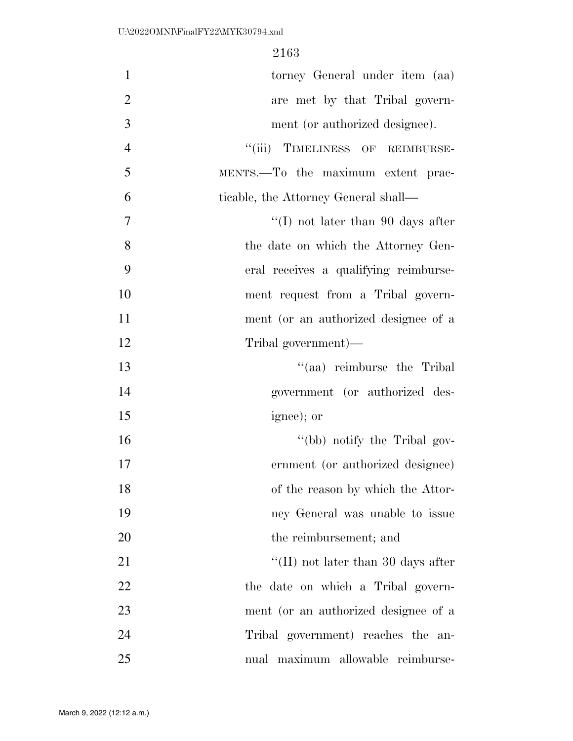| $\mathbf{1}$   | torney General under item (aa)        |
|----------------|---------------------------------------|
| $\overline{2}$ | are met by that Tribal govern-        |
| 3              | ment (or authorized designee).        |
| $\overline{4}$ | "(iii) TIMELINESS OF REIMBURSE-       |
| 5              | MENTS.—To the maximum extent prac-    |
| 6              | ticable, the Attorney General shall—  |
| $\overline{7}$ | "(I) not later than 90 days after     |
| 8              | the date on which the Attorney Gen-   |
| 9              | eral receives a qualifying reimburse- |
| 10             | ment request from a Tribal govern-    |
| 11             | ment (or an authorized designee of a  |
| 12             | Tribal government)—                   |
| 13             | "(aa) reimburse the Tribal"           |
| 14             | government (or authorized des-        |
| 15             | ignee); or                            |
| 16             | "(bb) notify the Tribal gov-          |
| 17             | ernment (or authorized designee)      |
| 18             | of the reason by which the Attor-     |
| 19             | ney General was unable to issue       |
| 20             | the reimbursement; and                |
| 21             | "(II) not later than 30 days after    |
| 22             | the date on which a Tribal govern-    |
| 23             | ment (or an authorized designee of a  |
| 24             | Tribal government) reaches the an-    |
| 25             | nual maximum allowable reimburse-     |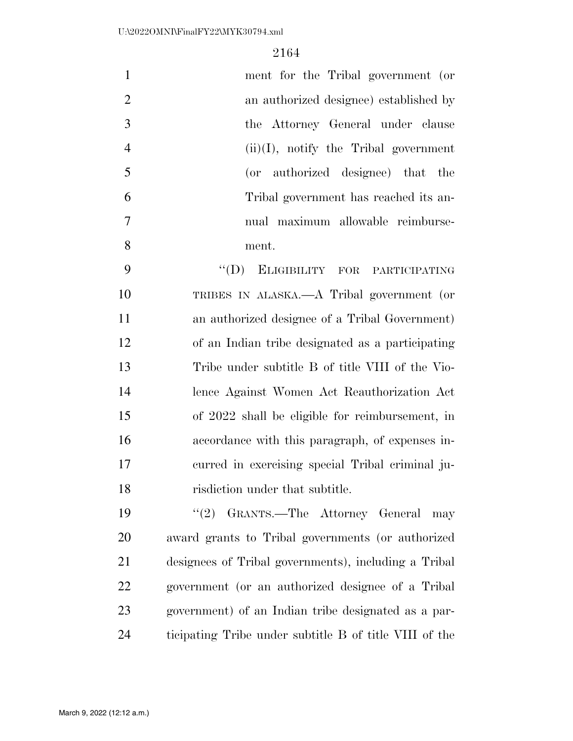| $\mathbf{1}$   | ment for the Tribal government (or                   |
|----------------|------------------------------------------------------|
| $\overline{2}$ | an authorized designee) established by               |
| 3              | the Attorney General under clause                    |
| $\overline{4}$ | $(ii)(I)$ , notify the Tribal government             |
| 5              | (or authorized designee) that the                    |
| 6              | Tribal government has reached its an-                |
| 7              | nual maximum allowable reimburse-                    |
| 8              | ment.                                                |
| 9              | "(D) ELIGIBILITY FOR PARTICIPATING                   |
| 10             | TRIBES IN ALASKA.—A Tribal government (or            |
| 11             | an authorized designee of a Tribal Government)       |
| 12             | of an Indian tribe designated as a participating     |
| 13             | Tribe under subtitle B of title VIII of the Vio-     |
| 14             | lence Against Women Act Reauthorization Act          |
| 15             | of 2022 shall be eligible for reimbursement, in      |
| 16             | accordance with this paragraph, of expenses in-      |
| 17             | curred in exercising special Tribal criminal ju-     |
| 18             | risdiction under that subtitle.                      |
| 19             | "(2) GRANTS.—The Attorney General<br>may             |
| 20             | award grants to Tribal governments (or authorized    |
| 21             | designees of Tribal governments), including a Tribal |
| 22             | government (or an authorized designee of a Tribal    |
| 23             | government) of an Indian tribe designated as a par-  |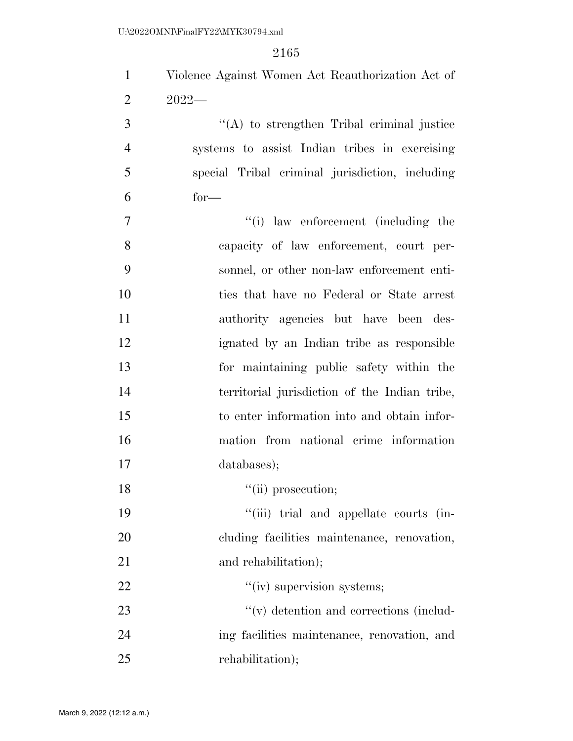| $\mathbf{1}$   | Violence Against Women Act Reauthorization Act of |
|----------------|---------------------------------------------------|
| $\overline{2}$ | $2022-$                                           |
| 3              | $\lq\lq$ to strengthen Tribal criminal justice    |
| $\overline{4}$ | systems to assist Indian tribes in exercising     |
| 5              | special Tribal criminal jurisdiction, including   |
| 6              | $for-$                                            |
| $\overline{7}$ | "(i) law enforcement (including the               |
| 8              | capacity of law enforcement, court per-           |
| 9              | sonnel, or other non-law enforcement enti-        |
| 10             | ties that have no Federal or State arrest         |
| 11             | authority agencies but have been des-             |
| 12             | ignated by an Indian tribe as responsible         |
| 13             | for maintaining public safety within the          |
| 14             | territorial jurisdiction of the Indian tribe,     |
| 15             | to enter information into and obtain infor-       |
| 16             | mation from national crime information            |
| 17             | databases);                                       |
| 18             | $``(ii)$ prosecution;                             |
| 19             | "(iii) trial and appellate courts (in-            |
| 20             | cluding facilities maintenance, renovation,       |
| 21             | and rehabilitation);                              |
| 22             | $``(iv)$ supervision systems;                     |
| 23             | $\lq\lq$ detention and corrections (includ-       |
| 24             | ing facilities maintenance, renovation, and       |
| 25             | rehabilitation);                                  |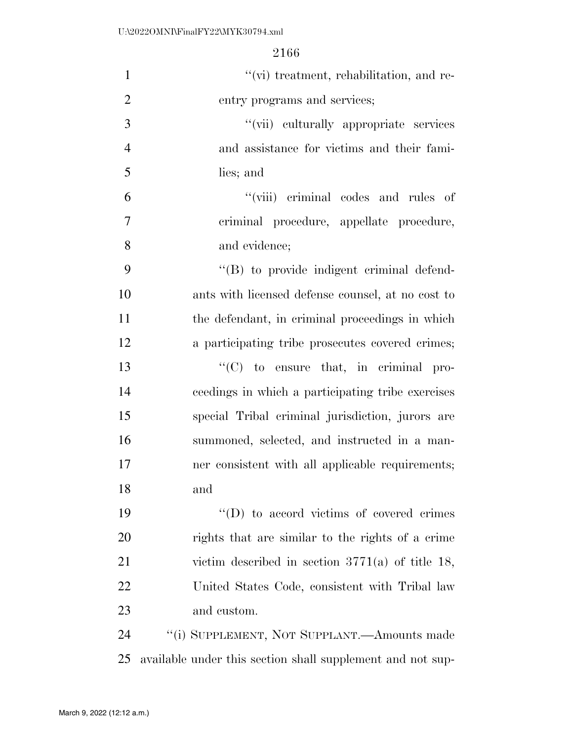| $\mathbf{1}$   | $\lq\lq$ (vi) treatment, rehabilitation, and re-           |
|----------------|------------------------------------------------------------|
| $\overline{2}$ | entry programs and services;                               |
| 3              | "(vii) culturally appropriate services                     |
| $\overline{4}$ | and assistance for victims and their fami-                 |
| 5              | lies; and                                                  |
| 6              | "(viii) criminal codes and rules of                        |
| $\tau$         | criminal procedure, appellate procedure,                   |
| 8              | and evidence;                                              |
| 9              | "(B) to provide indigent criminal defend-                  |
| 10             | ants with licensed defense counsel, at no cost to          |
| 11             | the defendant, in criminal proceedings in which            |
| 12             | a participating tribe prosecutes covered crimes;           |
| 13             | $\lq\lq$ (C) to ensure that, in criminal pro-              |
| 14             | ceedings in which a participating tribe exercises          |
| 15             | special Tribal criminal jurisdiction, jurors are           |
| 16             | summoned, selected, and instructed in a man-               |
| 17             | ner consistent with all applicable requirements;           |
| 18             | and                                                        |
| 19             | "(D) to accord victims of covered crimes                   |
| 20             | rights that are similar to the rights of a crime           |
| 21             | victim described in section $3771(a)$ of title 18,         |
| 22             | United States Code, consistent with Tribal law             |
| 23             | and custom.                                                |
| 24             | "(i) SUPPLEMENT, NOT SUPPLANT.—Amounts made                |
| 25             | available under this section shall supplement and not sup- |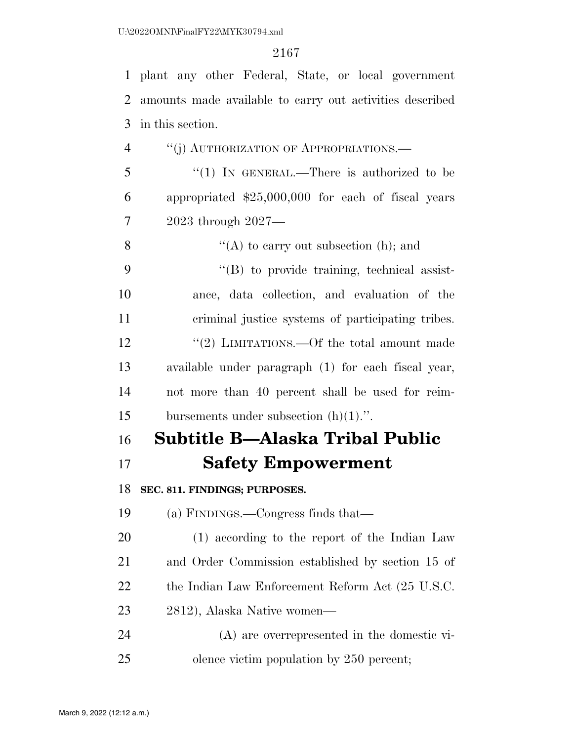2023 through 2027—

## 

 plant any other Federal, State, or local government amounts made available to carry out activities described in this section.

 ''(j) AUTHORIZATION OF APPROPRIATIONS.— ''(1) IN GENERAL.—There is authorized to be appropriated \$25,000,000 for each of fiscal years

 $\langle (A) \rangle$  to carry out subsection (h); and ''(B) to provide training, technical assist- ance, data collection, and evaluation of the criminal justice systems of participating tribes. 12 ''(2) LIMITATIONS.—Of the total amount made available under paragraph (1) for each fiscal year, not more than 40 percent shall be used for reim-bursements under subsection (h)(1).''.

# **Subtitle B—Alaska Tribal Public**

**Safety Empowerment** 

**SEC. 811. FINDINGS; PURPOSES.** 

(a) FINDINGS.—Congress finds that—

 (1) according to the report of the Indian Law and Order Commission established by section 15 of 22 the Indian Law Enforcement Reform Act (25 U.S.C. 2812), Alaska Native women—

 (A) are overrepresented in the domestic vi-olence victim population by 250 percent;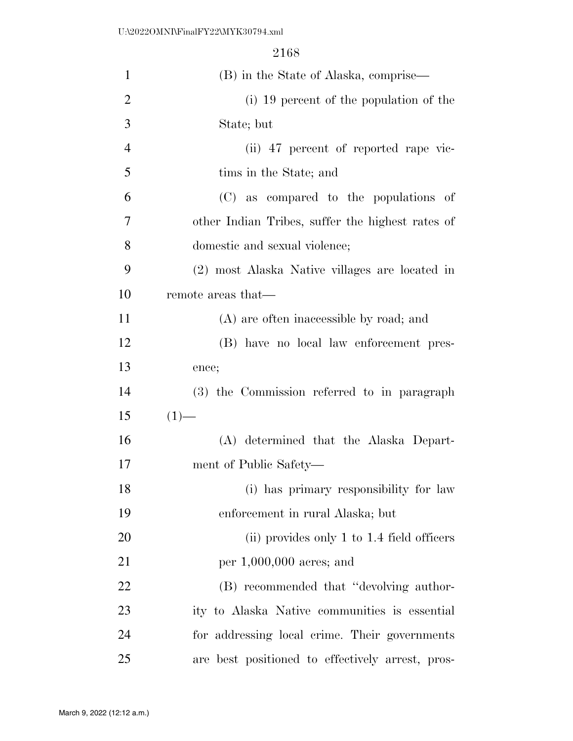| $\mathbf{1}$   | (B) in the State of Alaska, comprise—            |
|----------------|--------------------------------------------------|
| $\overline{2}$ | (i) 19 percent of the population of the          |
| 3              | State; but                                       |
| $\overline{4}$ | (ii) 47 percent of reported rape vic-            |
| 5              | tims in the State; and                           |
| 6              | (C) as compared to the populations of            |
| 7              | other Indian Tribes, suffer the highest rates of |
| 8              | domestic and sexual violence;                    |
| 9              | (2) most Alaska Native villages are located in   |
| 10             | remote areas that—                               |
| 11             | (A) are often inaccessible by road; and          |
| 12             | (B) have no local law enforcement pres-          |
| 13             | ence;                                            |
| 14             | (3) the Commission referred to in paragraph      |
| 15             | $(1)$ —                                          |
| 16             | (A) determined that the Alaska Depart-           |
| 17             | ment of Public Safety—                           |
| 18             | (i) has primary responsibility for law           |
| 19             | enforcement in rural Alaska; but                 |
| 20             | (ii) provides only $1$ to $1.4$ field officers   |
| 21             | per $1,000,000$ acres; and                       |
| 22             | (B) recommended that "devolving author-          |
| 23             | ity to Alaska Native communities is essential    |
| 24             | for addressing local crime. Their governments    |
| 25             | are best positioned to effectively arrest, pros- |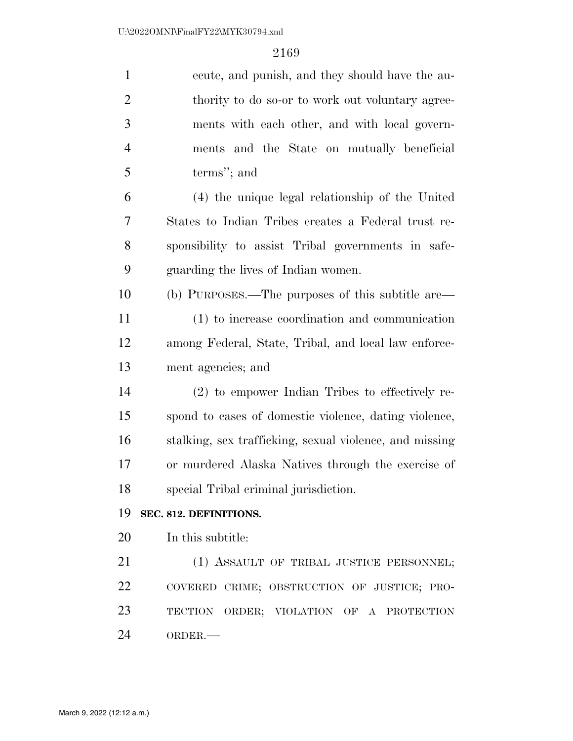| $\mathbf{1}$   | ecute, and punish, and they should have the au-         |
|----------------|---------------------------------------------------------|
| $\overline{2}$ | thority to do so-or to work out voluntary agree-        |
| 3              | ments with each other, and with local govern-           |
| $\overline{4}$ | ments and the State on mutually beneficial              |
| 5              | terms"; and                                             |
| 6              | (4) the unique legal relationship of the United         |
| 7              | States to Indian Tribes creates a Federal trust re-     |
| 8              | sponsibility to assist Tribal governments in safe-      |
| 9              | guarding the lives of Indian women.                     |
| 10             | (b) PURPOSES.—The purposes of this subtitle are—        |
| 11             | (1) to increase coordination and communication          |
| 12             | among Federal, State, Tribal, and local law enforce-    |
| 13             | ment agencies; and                                      |
| 14             | (2) to empower Indian Tribes to effectively re-         |
| 15             | spond to cases of domestic violence, dating violence,   |
| 16             | stalking, sex trafficking, sexual violence, and missing |
| 17             | or murdered Alaska Natives through the exercise of      |
| 18             | special Tribal criminal jurisdiction.                   |
| 19             | SEC. 812. DEFINITIONS.                                  |
| 20             | In this subtitle:                                       |
| 21             | (1) ASSAULT OF TRIBAL JUSTICE PERSONNEL;                |
| 22             | COVERED CRIME; OBSTRUCTION OF JUSTICE; PRO-             |
| 23             | TECTION ORDER; VIOLATION OF A PROTECTION                |
| 24             | ORDER.-                                                 |
|                |                                                         |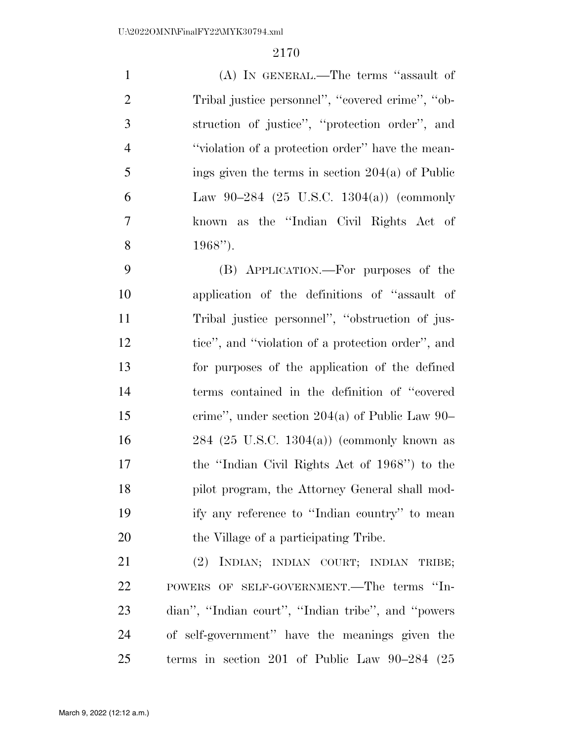(A) IN GENERAL.—The terms ''assault of Tribal justice personnel'', ''covered crime'', ''ob- struction of justice'', ''protection order'', and 4 ''violation of a protection order'' have the mean- ings given the terms in section  $204(a)$  of Public Law 90–284 (25 U.S.C. 1304(a)) (commonly known as the ''Indian Civil Rights Act of 1968'').

 (B) APPLICATION.—For purposes of the application of the definitions of ''assault of Tribal justice personnel'', ''obstruction of jus- tice'', and ''violation of a protection order'', and for purposes of the application of the defined terms contained in the definition of ''covered crime'', under section 204(a) of Public Law 90– 284 (25 U.S.C. 1304(a)) (commonly known as the ''Indian Civil Rights Act of 1968'') to the 18 pilot program, the Attorney General shall mod- ify any reference to ''Indian country'' to mean 20 the Village of a participating Tribe.

 (2) INDIAN; INDIAN COURT; INDIAN TRIBE; POWERS OF SELF-GOVERNMENT.—The terms ''In- dian'', ''Indian court'', ''Indian tribe'', and ''powers of self-government'' have the meanings given the terms in section 201 of Public Law 90–284 (25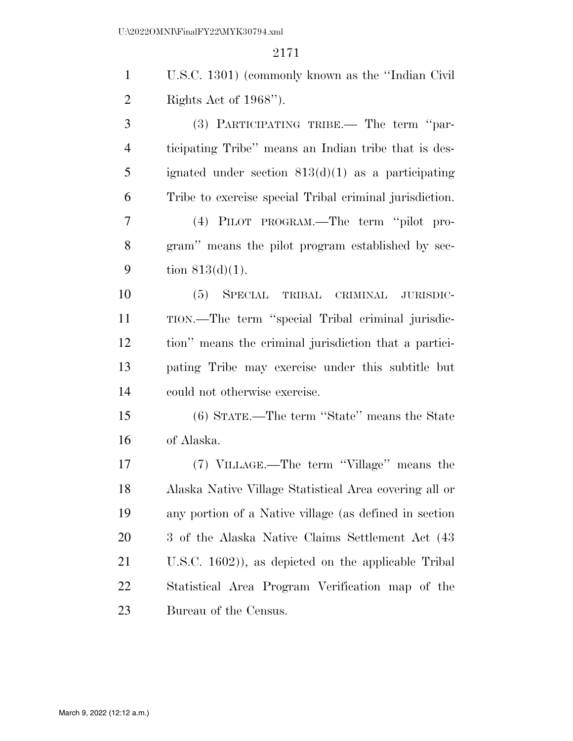U.S.C. 1301) (commonly known as the ''Indian Civil Rights Act of 1968'').

 (3) PARTICIPATING TRIBE.— The term ''par- ticipating Tribe'' means an Indian tribe that is des- ignated under section 813(d)(1) as a participating Tribe to exercise special Tribal criminal jurisdiction. (4) PILOT PROGRAM.—The term ''pilot pro-

 gram'' means the pilot program established by sec-9 tion  $813(d)(1)$ .

 (5) SPECIAL TRIBAL CRIMINAL JURISDIC- TION.—The term ''special Tribal criminal jurisdic- tion'' means the criminal jurisdiction that a partici- pating Tribe may exercise under this subtitle but could not otherwise exercise.

 (6) STATE.—The term ''State'' means the State of Alaska.

 (7) VILLAGE.—The term ''Village'' means the Alaska Native Village Statistical Area covering all or any portion of a Native village (as defined in section 3 of the Alaska Native Claims Settlement Act (43 U.S.C. 1602)), as depicted on the applicable Tribal Statistical Area Program Verification map of the Bureau of the Census.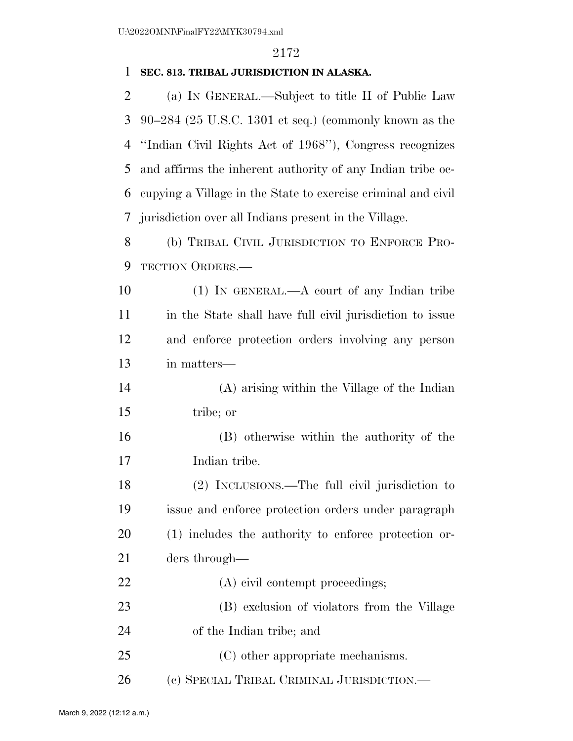## **SEC. 813. TRIBAL JURISDICTION IN ALASKA.**

 (a) IN GENERAL.—Subject to title II of Public Law 90–284 (25 U.S.C. 1301 et seq.) (commonly known as the ''Indian Civil Rights Act of 1968''), Congress recognizes and affirms the inherent authority of any Indian tribe oc- cupying a Village in the State to exercise criminal and civil jurisdiction over all Indians present in the Village.

 (b) TRIBAL CIVIL JURISDICTION TO ENFORCE PRO-TECTION ORDERS.—

 (1) IN GENERAL.—A court of any Indian tribe 11 in the State shall have full civil jurisdiction to issue and enforce protection orders involving any person in matters—

 (A) arising within the Village of the Indian tribe; or

 (B) otherwise within the authority of the Indian tribe.

 (2) INCLUSIONS.—The full civil jurisdiction to issue and enforce protection orders under paragraph (1) includes the authority to enforce protection or-ders through—

- 22 (A) civil contempt proceedings; (B) exclusion of violators from the Village of the Indian tribe; and 25 (C) other appropriate mechanisms.
- (c) SPECIAL TRIBAL CRIMINAL JURISDICTION.—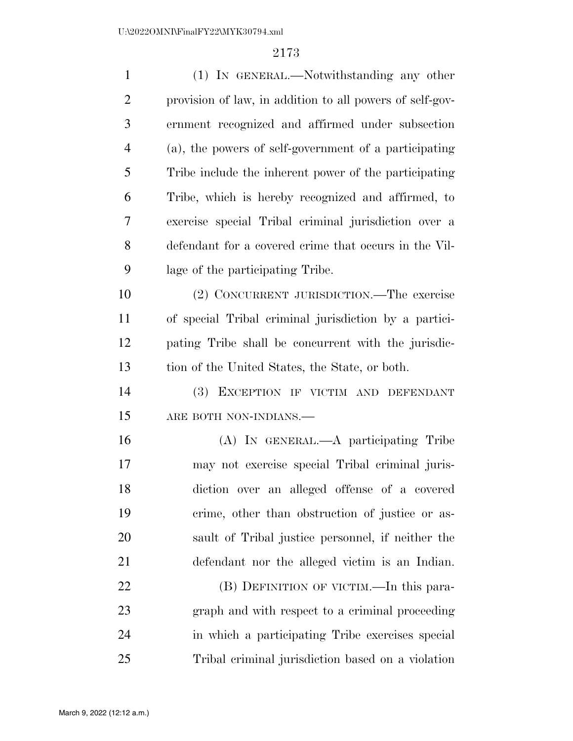| $\mathbf{1}$   | (1) IN GENERAL.—Notwithstanding any other                |
|----------------|----------------------------------------------------------|
| $\overline{2}$ | provision of law, in addition to all powers of self-gov- |
| 3              | ernment recognized and affirmed under subsection         |
| $\overline{4}$ | (a), the powers of self-government of a participating    |
| 5              | Tribe include the inherent power of the participating    |
| 6              | Tribe, which is hereby recognized and affirmed, to       |
| 7              | exercise special Tribal criminal jurisdiction over a     |
| 8              | defendant for a covered crime that occurs in the Vil-    |
| 9              | lage of the participating Tribe.                         |
| 10             | (2) CONCURRENT JURISDICTION.—The exercise                |
| 11             | of special Tribal criminal jurisdiction by a partici-    |
| 12             | pating Tribe shall be concurrent with the jurisdic-      |
| 13             | tion of the United States, the State, or both.           |
| 14             | (3) EXCEPTION IF VICTIM AND DEFENDANT                    |
| 15             | ARE BOTH NON-INDIANS.-                                   |
| 16             | (A) IN GENERAL.—A participating Tribe                    |
| 17             | may not exercise special Tribal criminal juris-          |
| 18             | diction over an alleged offense of a covered             |
| 19             | crime, other than obstruction of justice or as-          |
| 20             | sault of Tribal justice personnel, if neither the        |
| 21             | defendant nor the alleged victim is an Indian.           |
| 22             | (B) DEFINITION OF VICTIM.—In this para-                  |
| 23             | graph and with respect to a criminal proceeding          |
| 24             | in which a participating Tribe exercises special         |
| 25             | Tribal criminal jurisdiction based on a violation        |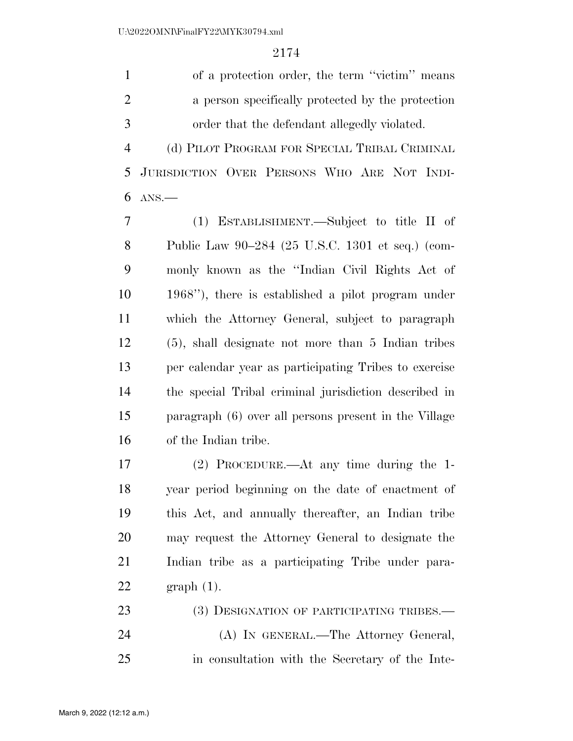1 of a protection order, the term "victim" means a person specifically protected by the protection order that the defendant allegedly violated.

 (d) PILOT PROGRAM FOR SPECIAL TRIBAL CRIMINAL JURISDICTION OVER PERSONS WHO ARE NOT INDI-ANS.—

 (1) ESTABLISHMENT.—Subject to title II of Public Law 90–284 (25 U.S.C. 1301 et seq.) (com- monly known as the ''Indian Civil Rights Act of 1968''), there is established a pilot program under which the Attorney General, subject to paragraph (5), shall designate not more than 5 Indian tribes per calendar year as participating Tribes to exercise the special Tribal criminal jurisdiction described in paragraph (6) over all persons present in the Village of the Indian tribe.

 (2) PROCEDURE.—At any time during the 1- year period beginning on the date of enactment of this Act, and annually thereafter, an Indian tribe may request the Attorney General to designate the Indian tribe as a participating Tribe under para-graph (1).

| 23 | (3) DESIGNATION OF PARTICIPATING TRIBES.—       |
|----|-------------------------------------------------|
| 24 | (A) IN GENERAL.—The Attorney General,           |
| 25 | in consultation with the Secretary of the Inte- |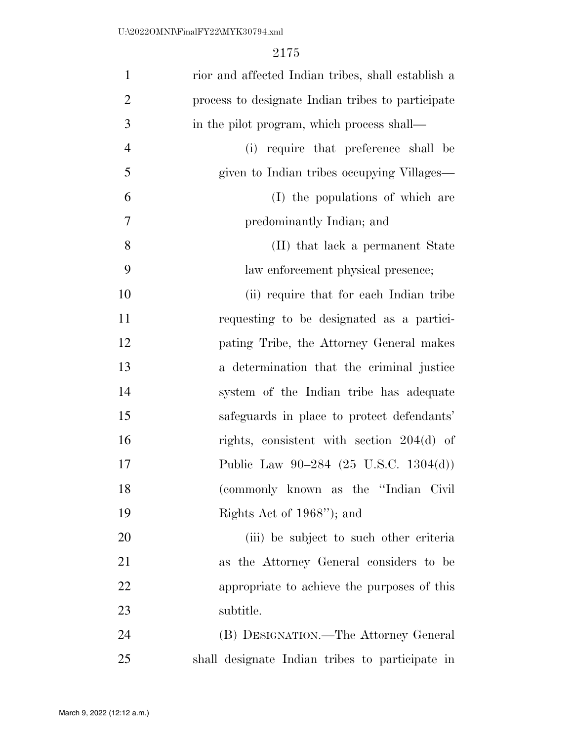| $\mathbf{1}$   | rior and affected Indian tribes, shall establish a |
|----------------|----------------------------------------------------|
| $\overline{2}$ | process to designate Indian tribes to participate  |
| 3              | in the pilot program, which process shall—         |
| $\overline{4}$ | (i) require that preference shall be               |
| 5              | given to Indian tribes occupying Villages—         |
| 6              | (I) the populations of which are                   |
| $\tau$         | predominantly Indian; and                          |
| 8              | (II) that lack a permanent State                   |
| 9              | law enforcement physical presence;                 |
| 10             | (ii) require that for each Indian tribe            |
| 11             | requesting to be designated as a partici-          |
| 12             | pating Tribe, the Attorney General makes           |
| 13             | a determination that the criminal justice          |
| 14             | system of the Indian tribe has adequate            |
| 15             | safeguards in place to protect defendants'         |
| 16             | rights, consistent with section $204(d)$ of        |
| 17             | Public Law 90–284 $(25 \text{ U.S.C. } 1304(d))$   |
| 18             | (commonly known as the "Indian Civil"              |
| 19             | Rights Act of 1968"; and                           |
| 20             | (iii) be subject to such other criteria            |
| 21             | as the Attorney General considers to be            |
| 22             | appropriate to achieve the purposes of this        |
| 23             | subtitle.                                          |
| 24             | (B) DESIGNATION.—The Attorney General              |
| 25             | shall designate Indian tribes to participate in    |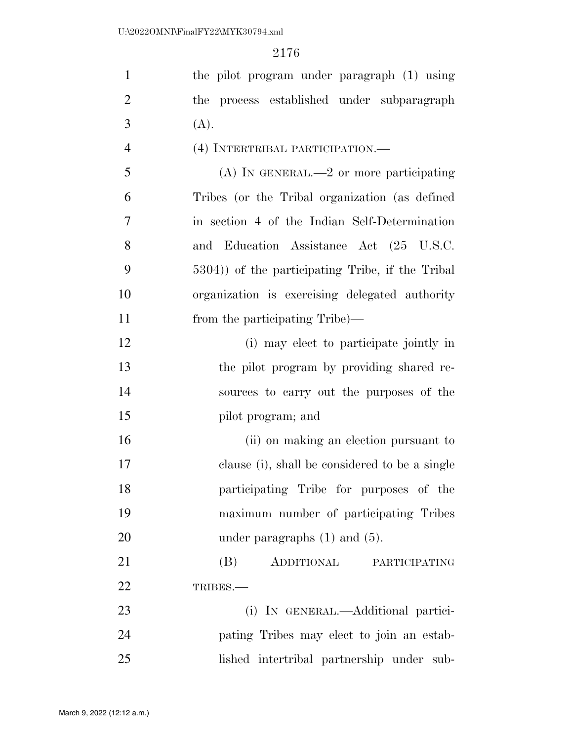| $\mathbf{1}$   | the pilot program under paragraph (1) using     |
|----------------|-------------------------------------------------|
| $\overline{2}$ | the process established under subparagraph      |
| 3              | (A).                                            |
| $\overline{4}$ | (4) INTERTRIBAL PARTICIPATION.—                 |
| 5              | (A) IN GENERAL.—2 or more participating         |
| 6              | Tribes (or the Tribal organization (as defined  |
| 7              | in section 4 of the Indian Self-Determination   |
| 8              | and Education Assistance Act (25 U.S.C.         |
| 9              | 5304) of the participating Tribe, if the Tribal |
| 10             | organization is exercising delegated authority  |
| 11             | from the participating Tribe)—                  |
| 12             | (i) may elect to participate jointly in         |
| 13             | the pilot program by providing shared re-       |
| 14             | sources to carry out the purposes of the        |
| 15             | pilot program; and                              |
| 16             | (ii) on making an election pursuant to          |
| 17             | clause (i), shall be considered to be a single  |
| 18             | participating Tribe for purposes of the         |
| 19             | maximum number of participating Tribes          |
| 20             | under paragraphs $(1)$ and $(5)$ .              |
| 21             | ADDITIONAL PARTICIPATING<br>(B)                 |
| 22             | TRIBES.                                         |
| 23             | (i) IN GENERAL.—Additional partici-             |
| 24             | pating Tribes may elect to join an estab-       |
| 25             | lished intertribal partnership under sub-       |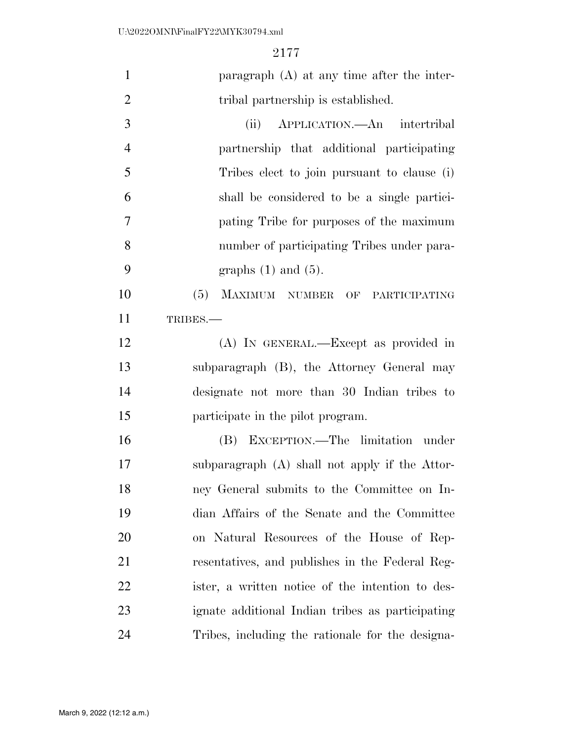| $\mathbf{1}$   | paragraph $(A)$ at any time after the inter-     |
|----------------|--------------------------------------------------|
| $\overline{2}$ | tribal partnership is established.               |
| 3              | APPLICATION.—An intertribal<br>(ii)              |
| $\overline{4}$ | partnership that additional participating        |
| 5              | Tribes elect to join pursuant to clause (i)      |
| 6              | shall be considered to be a single partici-      |
| $\tau$         | pating Tribe for purposes of the maximum         |
| 8              | number of participating Tribes under para-       |
| 9              | graphs $(1)$ and $(5)$ .                         |
| 10             | (5)<br>MAXIMUM NUMBER OF<br>PARTICIPATING        |
| 11             | TRIBES.-                                         |
| 12             | (A) IN GENERAL.—Except as provided in            |
| 13             | subparagraph (B), the Attorney General may       |
| 14             | designate not more than 30 Indian tribes to      |
| 15             | participate in the pilot program.                |
| 16             | (B) EXCEPTION.—The limitation under              |
| 17             | subparagraph (A) shall not apply if the Attor-   |
| 18             | ney General submits to the Committee on In-      |
| 19             | dian Affairs of the Senate and the Committee     |
| 20             | on Natural Resources of the House of Rep-        |
| 21             | resentatives, and publishes in the Federal Reg-  |
| 22             | ister, a written notice of the intention to des- |
| 23             | ignate additional Indian tribes as participating |
| 24             | Tribes, including the rationale for the designa- |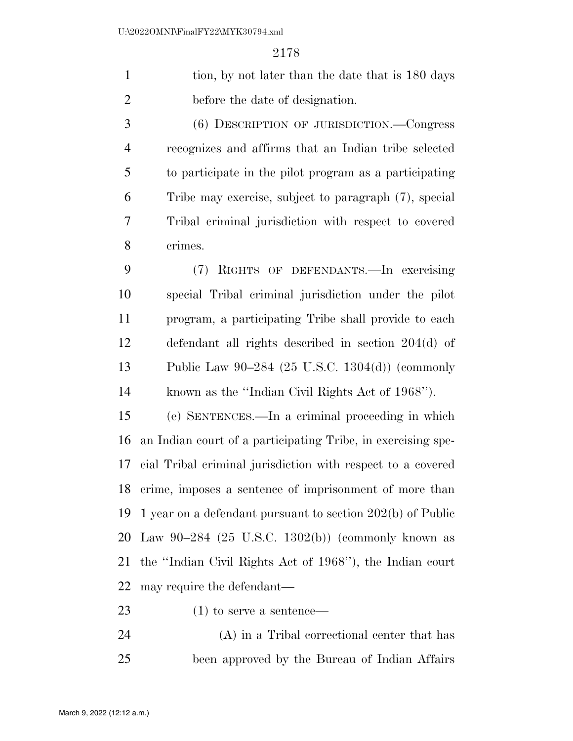1 tion, by not later than the date that is 180 days before the date of designation.

 (6) DESCRIPTION OF JURISDICTION.—Congress recognizes and affirms that an Indian tribe selected to participate in the pilot program as a participating Tribe may exercise, subject to paragraph (7), special Tribal criminal jurisdiction with respect to covered crimes.

 (7) RIGHTS OF DEFENDANTS.—In exercising special Tribal criminal jurisdiction under the pilot program, a participating Tribe shall provide to each defendant all rights described in section 204(d) of Public Law 90–284 (25 U.S.C. 1304(d)) (commonly known as the ''Indian Civil Rights Act of 1968'').

 (e) SENTENCES.—In a criminal proceeding in which an Indian court of a participating Tribe, in exercising spe- cial Tribal criminal jurisdiction with respect to a covered crime, imposes a sentence of imprisonment of more than 1 year on a defendant pursuant to section 202(b) of Public Law 90–284 (25 U.S.C. 1302(b)) (commonly known as the ''Indian Civil Rights Act of 1968''), the Indian court may require the defendant—

(1) to serve a sentence—

 (A) in a Tribal correctional center that has been approved by the Bureau of Indian Affairs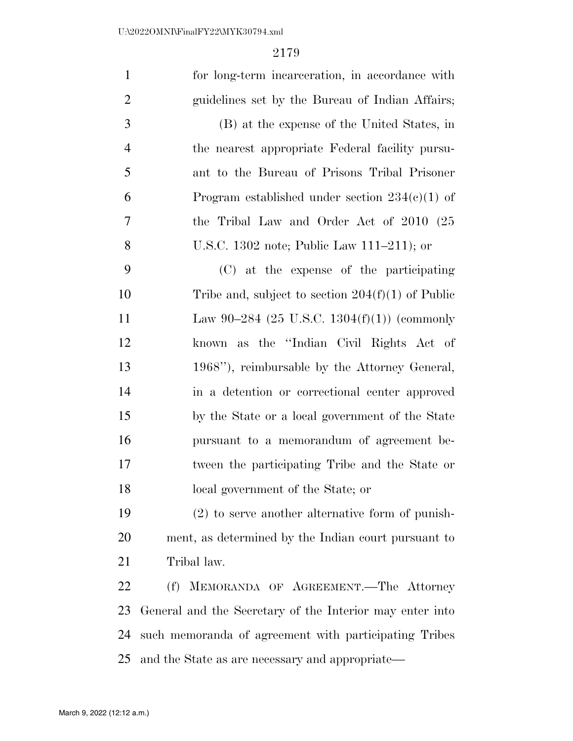| $\mathbf{1}$   | for long-term incarceration, in accordance with          |
|----------------|----------------------------------------------------------|
| $\overline{2}$ | guidelines set by the Bureau of Indian Affairs;          |
| $\mathfrak{Z}$ | (B) at the expense of the United States, in              |
| $\overline{4}$ | the nearest appropriate Federal facility pursu-          |
| 5              | ant to the Bureau of Prisons Tribal Prisoner             |
| 6              | Program established under section $234(c)(1)$ of         |
| $\tau$         | the Tribal Law and Order Act of 2010 (25                 |
| 8              | U.S.C. 1302 note; Public Law 111-211); or                |
| 9              | (C) at the expense of the participating                  |
| 10             | Tribe and, subject to section $204(f)(1)$ of Public      |
| 11             | Law 90-284 (25 U.S.C. 1304 $(f)(1)$ ) (commonly          |
| 12             | as the "Indian Civil Rights Act of<br>known              |
| 13             | 1968"), reimbursable by the Attorney General,            |
| 14             | in a detention or correctional center approved           |
| 15             | by the State or a local government of the State          |
| 16             | pursuant to a memorandum of agreement be-                |
| 17             | tween the participating Tribe and the State or           |
| 18             | local government of the State; or                        |
| 19             | $(2)$ to serve another alternative form of punish-       |
| 20             | ment, as determined by the Indian court pursuant to      |
| 21             | Tribal law.                                              |
| 22             | MEMORANDA OF AGREEMENT. The Attorney<br>(f)              |
| 23             | General and the Secretary of the Interior may enter into |
| 24             | such memoranda of agreement with participating Tribes    |
| 25             | and the State as are necessary and appropriate—          |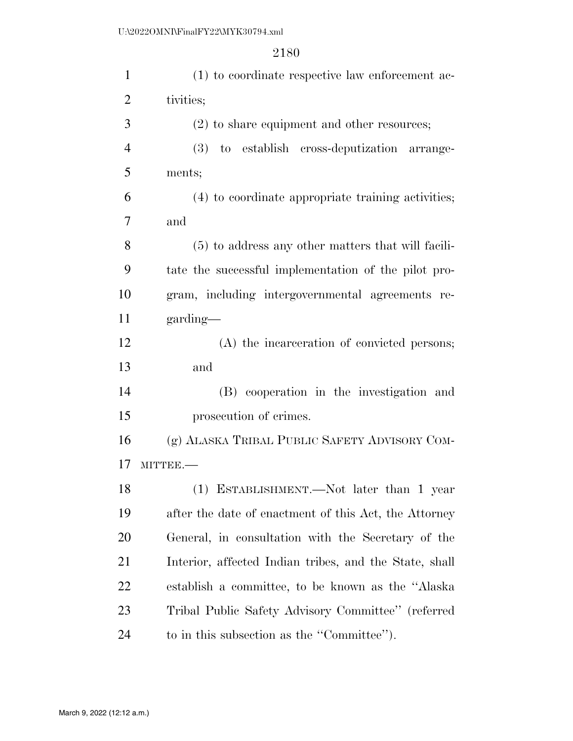| $\mathbf{1}$   | (1) to coordinate respective law enforcement ac-       |
|----------------|--------------------------------------------------------|
| $\overline{2}$ | tivities;                                              |
| 3              | $(2)$ to share equipment and other resources;          |
| $\overline{4}$ | (3) to establish cross-deputization arrange-           |
| 5              | ments;                                                 |
| 6              | (4) to coordinate appropriate training activities;     |
| 7              | and                                                    |
| 8              | (5) to address any other matters that will facili-     |
| 9              | tate the successful implementation of the pilot pro-   |
| 10             | gram, including intergovernmental agreements re-       |
| 11             | garding—                                               |
| 12             | (A) the incarceration of convicted persons;            |
| 13             | and                                                    |
| 14             | (B) cooperation in the investigation and               |
| 15             | prosecution of crimes.                                 |
| 16             | (g) ALASKA TRIBAL PUBLIC SAFETY ADVISORY COM-          |
| 17             | MITTEE.-                                               |
| 18             | (1) ESTABLISHMENT.—Not later than 1 year               |
| 19             | after the date of enactment of this Act, the Attorney  |
| 20             | General, in consultation with the Secretary of the     |
| 21             | Interior, affected Indian tribes, and the State, shall |
| 22             | establish a committee, to be known as the "Alaska"     |
| 23             | Tribal Public Safety Advisory Committee" (referred     |
| 24             | to in this subsection as the "Committee".              |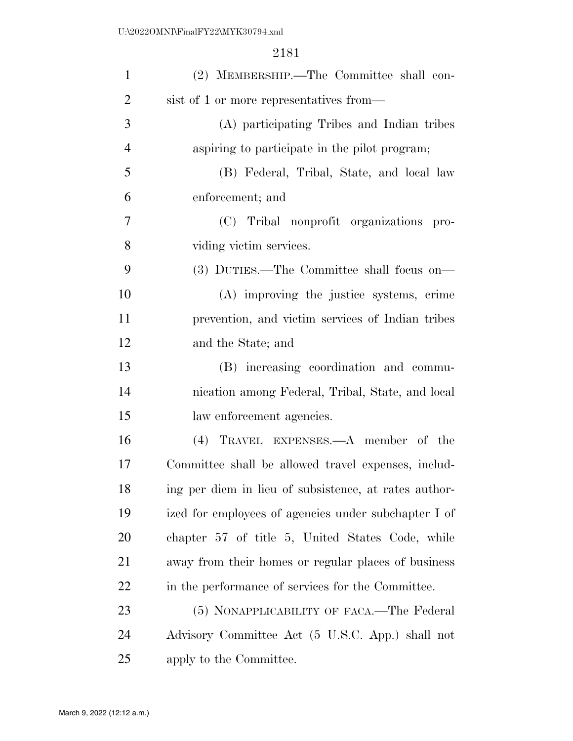| $\mathbf{1}$   | (2) MEMBERSHIP.—The Committee shall con-              |
|----------------|-------------------------------------------------------|
| 2              | sist of 1 or more representatives from—               |
| 3              | (A) participating Tribes and Indian tribes            |
| $\overline{4}$ | aspiring to participate in the pilot program;         |
| 5              | (B) Federal, Tribal, State, and local law             |
| 6              | enforcement; and                                      |
| $\tau$         | (C) Tribal nonprofit organizations pro-               |
| 8              | viding victim services.                               |
| 9              | (3) DUTIES.—The Committee shall focus on—             |
| 10             | (A) improving the justice systems, crime              |
| 11             | prevention, and victim services of Indian tribes      |
| 12             | and the State; and                                    |
| 13             | (B) increasing coordination and commu-                |
| 14             | nication among Federal, Tribal, State, and local      |
| 15             | law enforcement agencies.                             |
| 16             | (4) TRAVEL EXPENSES.—A member of the                  |
| 17             | Committee shall be allowed travel expenses, includ-   |
| 18             | ing per diem in lieu of subsistence, at rates author- |
| 19             | ized for employees of agencies under subchapter I of  |
| 20             | chapter 57 of title 5, United States Code, while      |
| 21             | away from their homes or regular places of business   |
| 22             | in the performance of services for the Committee.     |
| 23             | (5) NONAPPLICABILITY OF FACA.—The Federal             |
| 24             | Advisory Committee Act (5 U.S.C. App.) shall not      |
| 25             | apply to the Committee.                               |